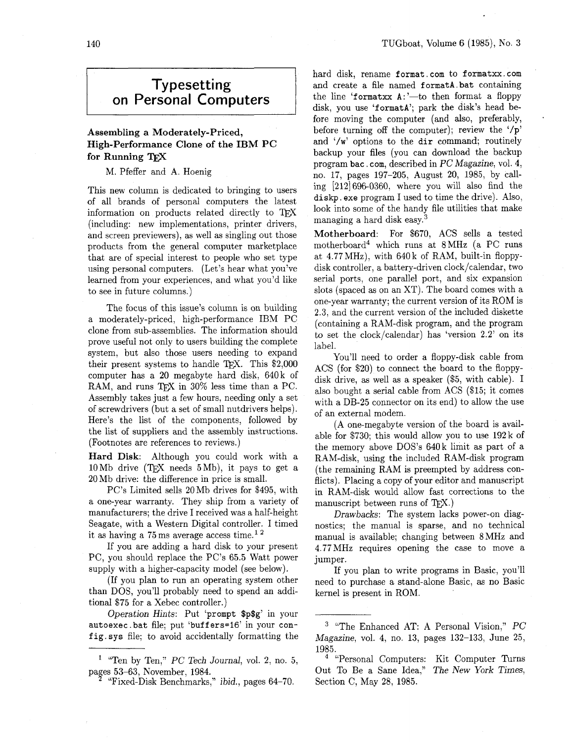## **Typesetting on Personal Computers**

## Assembling a Moderately-Priced, High-Performance Clone of the IBM PC for Running TFX

M. Pfeffer and A. Hoenig

This new column is dedicated to bringing to users of all brands of personal computers the latest information on products related directly to TFX (including: new implementations, printer drivers, and screen previewers), as well as singling out those products from the general computer marketplace that are of special interest to people who set type using personal computers. (Let's hear what you've learned from your experiences, and what you'd like to see in future columns.)

The focus of this issue's column is on building a moderately-priced, high-performance IBM PC clone from sub-assemblies. The information should prove useful not only to users building the complete system, but also those users needing to expand their present systems to handle TFX. This  $$2,000$ computer has a 20 megabyte hard disk, 640k of RAM, and runs TFX in  $30\%$  less time than a PC. Assembly takes just a few hours, needing only a set of screwdrivers (but a set of small nutdrivers helps). Here's the list of the components, followed by the list of suppliers and the assembly instructions. (Footnotes are references to reviews.)

Hard Disk: Although you could work with a  $10 \,\mathrm{Mb}$  drive (TFX needs  $5 \,\mathrm{Mb}$ ), it pays to get a 20Mb drive: the difference in price is small.

PC's Limited sells 20 Mb drives for \$495, with a one-year warranty. They ship from a variety of manufacturers; the drive I received was a half-height Seagate, with a Western Digital controller. I timed it as having a  $75 \text{ ms}$  average access time.<sup>12</sup>

If you are adding a hard disk to your present PC, you should replace the PC's 65.5 Watt power supply with a higher-capacity model (see below).

(If you plan to run an operating system other than DOS, you'll probably need to spend an additional \$75 for a Xebec controller.)

Operation Hints: Put 'prompt \$p\$g' in your autoexec. bat file; put 'buffers=16' in your config. sys file; to avoid accidentally formatting the hard disk, rename format.com to formatxx.com and create a file named formatA .bat containing the line 'formatxx  $A:$ '---to then format a floppy disk, you use 'formatA'; park the disk's head before moving the computer (and also, preferably, before turning off the computer); review the '/p' and **'/w'** options to the dir command; routinely backup your files (you can download the backup program bac . com, described in PC Magazine, vol. 4, no. 17, pages 197-205, August 20, 1985, by calling [212] 696-0360, where you will also find the **diskp.** exe program I used to time the drive). Also, look into some of the handy file utilities that make managing a hard disk easy.<sup>3</sup>

Motherboard: For \$670, ACS sells a tested motherboard4 which runs at 8MHz (a PC runs at 4.77MHz), with 640k of RAM, built-in floppydisk controller, a battery-driven clock/calendar, two serial ports, one parallel port, and six expansion slots (spaced as on an XT). The board comes with a one-year warranty; the current version of its ROM is 2.3, and the current version of the included diskette (containing a RAM-disk program, and the program to set the clock/calendar) has 'version 2.2' on its label.

You'll need to order a floppy-disk cable from ACS (for \$20) to connect the board to the floppydisk drive, as well as a speaker (\$5, with cable). I also bought a serial cable from ACS (\$15; it comes with a DB-25 connector on its end) to allow the use of an external modem.

(A one-megabyte version of the board is available for \$730; this would allow you to use 192 k of the memory above  $DOS$ 's  $640k$  limit as part of a RAM-disk, using the included RAM-disk program (the remaining RAM is preempted by address conflicts). Placing a copy of your editor and manuscript in RAM-disk would allow fast corrections to the manuscript between runs of  $Tr(X)$ .

Drawbacks: The system lacks power-on diagnostics; the manual is sparse, and no technical manual is available; changing between 8MHz and 4.77MHz requires opening the case to move a jumper.

If you plan to write programs in Basic, you'll need to purchase a stand-alone Basic, **as** no Basic kernel is present in ROM.

<sup>&</sup>lt;sup>1</sup> "Ten by Ten," *PC Tech Journal*, vol. 2, no. 5, pages 53–63, November, 1984.<br><sup>2</sup> "Fixed-Disk Benchmarks," ibid., pages 64–70.

 $3$  "The Enhanced AT: A Personal Vision," PC Magazine, vol. 4, no. 13, pages 132-133, June 25, 1985.

<sup>&</sup>lt;sup>4</sup> "Personal Computers: Kit Computer Turns Out To Be a Sane Idea," The New York Times, Section C, May 28, 1985.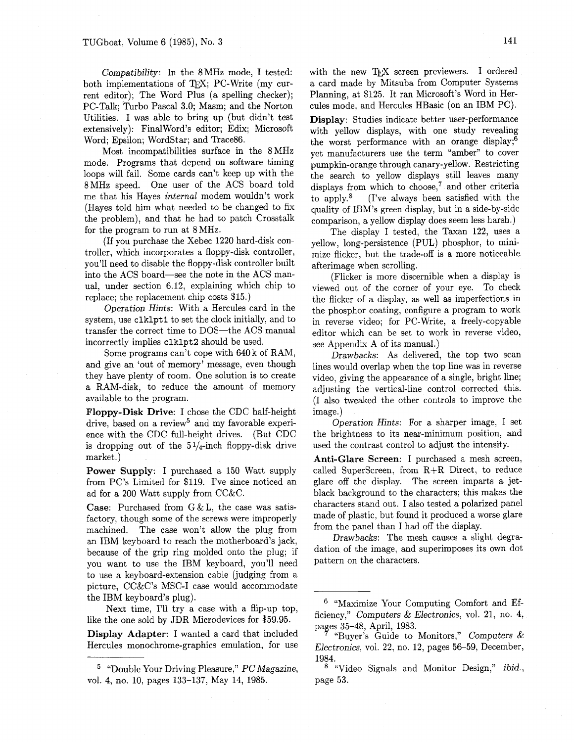Compatibility: In the 8MHz mode, I tested: both implementations of TFX; PC-Write (my current editor); The Word Plus (a spelling checker); PC-Talk; 'Turbo Pascal 3.0; Masm; and the Norton Utilities. I was able to bring up (but didn't test extensively): Finalword's editor; Edix; Microsoft Word; Epsilon; WordStar; and Trace86.

Most incompatibilities surface in the 8MHz mode. Programs that depend on software timing loops will fail. Some cards can't keep up with the 8MHz speed. One user of the ACS board told me that his Hayes internal modem wouldn't work (Hayes told him what needed to be changed to fix the problem), and that he had to patch Crosstalk for the program to run at 8 MHz.

(If you purchase the Xebec 1220 hard-disk controller, which incorporates a floppy-disk controller, you'll need to disable the floppy-disk controller built into the ACS board-see the note in the ACS manual, under section 6.12, explaining which chip to replace; the replacement chip costs \$15.)

Operation Hints: With a Hercules card in the system, use clklpt1 to set the clock initially, and to transfer the correct time to DOS-the ACS manual incorrectly implies **clklpt2** should be used.

Some programs can't cope with 640 k of RAM, and give an 'out of memory' message, even though they have plenty of room. One solution is to create a RAM-disk, to reduce the amount of memory available to the program.

Floppy-Disk Drive: I chose the CDC half-height drive, based on a review<sup>5</sup> and my favorable experience with the CDC full-height drives. (But CDC is dropping out of the  $5\frac{1}{4}$ -inch floppy-disk drive market.)

Power Supply: I purchased a 150 Watt supply from PC's Limited for \$119. I've since noticed an ad for a 200 Watt supply from CC&C.

**Case:** Purchased from  $G & L$ , the case was satisfactory, though some of the screws were improperly machined. The case won't allow the plug from an IBM keyboard to reach the motherboard's jack, because of the grip ring molded onto the plug; if you want to use the IBM keyboard, you'll need to use a keyboard-extension cable (judging from a picture,  $CC&C$ 's MSC-I case would accommodate the IBM keyboard's plug).

Next time, I'll try a case with a flip-up top, like the one sold by JDR Microdevices for \$59.95.

Display Adapter: I wanted a card that included Hercules monochrome-graphics emulation, for use with the new TEX screen previewers. I ordered a card made by Mitsuba from Computer Systems Planning, at \$125. It ran Microsoft's Word in Hercules mode, and Hercules HBasic (on **an** IBM PC).

Display: Studies indicate better user-performance with yellow displays, with one study revealing the worst performance with an orange display;6 yet manufacturers use the term "amber" to cover pumpkin-orange through canary-yellow. Restricting the search to yellow displays still leaves many displays from which to choose, $<sup>7</sup>$  and other criteria</sup> to apply.8 (I've always been satisfied with the quality of IBM's green display, but in a side-by-side comparison, a yellow display does seem less harsh.)

The display I tested, the Taxan 122, uses a yellow, long-persistence (PUL) phosphor, to minimize flicker, but the trade-off is a more noticeable afterimage when scrolling.

(Flicker is more discernible when a display is viewed out of the corner of your eye. To check the flicker of a display, as well as imperfections in the phosphor coating, configure a program to work in reverse video; for PC-Write, a freely-copyable editor which can be set to work in reverse video, see Appendix A of its manual.)

Drawbacks: As delivered, the top two scan lines would overlap when the top line was in reverse video, giving the appearance of a single, bright line; adjusting the vertical-line control corrected this. (I also tweaked the other controls to improve the image.)

Operation Hints: For a sharper image, I set the brightness to its near-minimum position, and used the contrast control to adjust the intensity.

Anti-Glare Screen: I purchased a mesh screen, called SuperScreen, from  $R+R$  Direct, to reduce glare off the display. The screen imparts a jetblack background to the characters; this makes the characters stand out. I also tested a polarized panel made of plastic, but found it produced a worse glare from the panel than I had off the display.

Drawbacks: The mesh causes a slight degradation of the image, and superimposes its own dot pattern on the characters.

<sup>&</sup>lt;sup>5</sup> "Double Your Driving Pleasure,"  $PC\,Magazine$ , vol. 4, no. 10, pages 133-137, May 14, 1985.

<sup>&</sup>lt;sup>6</sup> "Maximize Your Computing Comfort and Efficiency," Computers  $& Electronics$ , vol. 21, no. 4, pages 35–48, April, 1983.

<sup>&</sup>quot;Buyer's Guide to Monitors," Computers  $&$ Electronics, vol. 22, no. 12, pages 56-59, December, 1984.

Video Signals and Monitor Design," *ibid.*, page 53.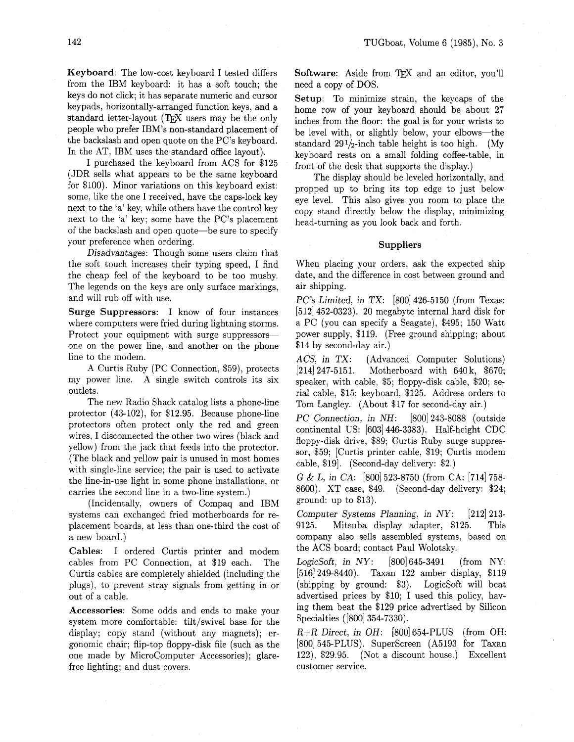Keyboard: The low-cost keyboard I tested differs from the IBM keyboard: it has a soft touch; the keys do not click; it has separate numeric and cursor keypads, horizontally-arranged function keys, and a standard letter-layout (TFX users may be the only people who prefer IBM's non-standard placement of the backslash and open quote on the PC's keyboard. In the AT, IBM uses the standard office layout).

I purchased the keyboard from ACS for \$125 (JDR sells what appears to be the same keyboard for \$100). Minor variations on this keyboard exist: some, like the one I received, have the caps-lock key next to the 'a' key, while others have the control key next to the 'a' key; some have the PC's placement of the backslash and open quote-be sure to specify your preference when ordering.

Disadvantages: Though some users claim that the soft touch increases their typing speed, I find the cheap feel of the keyboard to be too mushy. The legends on the keys are only surface markings, and will rub off with use.

Surge Suppressors: I know of four instances where computers were fried during lightning storms. Protect your equipment with surge suppressorsone on the power line, and another on the phone line to the modem.

A Curtis Ruby (PC Connection, \$59), protects my power line. A single switch controls its six outlets.

The new Radio Shack catalog lists a phone-line protector (43- 102), for \$12.95. Because phone-line protectors often protect only the red and green wires, I disconnected the other two wires (black and yellow) from the jack that feeds into the protector. (The black and yellow pair is unused in most homes with single-line service; the pair is used to activate the line-in-use light in some phone installations, or carries the second line in a two-line system.)

(Incidentally, owners of Compaq and IBM systems can exchanged fried motherboards for replacement boards, at less than one-third the cost of a new board.)

Cables: I ordered Curtis printer and modem cables from PC Connection, at \$19 each. The Curtis cables are completely shielded (including the plugs), to prevent stray signals from getting in or out of a cable.

Accessories: Some odds and ends to make your system more comfortable: tilt/swivel base for the display; copy stand (without any magnets); ergonomic chair; flip-top floppy-disk file (such as the one made by Microcomputer Accessories); glarefree lighting; and dust covers.

Software: Aside from TFX and an editor, you'll need a copy of DOS.

Setup: To minimize strain, the keycaps of the home row of your keyboard should be about 27 inches from the floor: the goal is for your wrists to be level with, or slightly below, your elbows-the standard  $291/2$ -inch table height is too high. (My keyboard rests on a small folding coffee-table, in front of the desk that supports the display.)

The display should be leveled horizontally, and propped up to bring its top edge to just below eye level. This also gives you room to place the copy stand directly below the display, minimizing head-turning as you look back and forth.

## **Suppliers**

When placing your orders, ask the expected ship date, and the difference in cost between ground and air shipping.

PC's Limited, in TX: [800] 426-5150 (from Texas: [512] 452-0323). 20 megabyte internal hard disk for a PC (you can specify a Seagate), \$495; 150 Watt power supply, \$119. (Free ground shipping; about \$14 by second-day air.)

ACS, in TX: (Advanced Computer Solutions)<br>[214] 247-5151. Motherboard with 640 k, \$670; Motherboard with 640 k, \$670; speaker, with cable, \$5; floppy-disk cable, \$20; serial cable, \$15; keyboard, \$125. Address orders to Tom Langley. (About \$17 for second-day air.)

PC Connection, in *NH:* [800] 243-8088 (outside continental US: [603] 446-3383). Half-height CDC floppy-disk drive, \$89; Curtis Ruby surge suppressor, \$59; [Curtis printer cable, \$19; Curtis modem cable, \$191. (Second-day delivery: \$2.)

G & L, in CA: [800] 523-8750 (from CA: [714] 758- 8600). XT case, \$49. (Second-day delivery: \$24; ground: up to \$13).

Computer Systems Planning, in NY: [212] 213- 9125. Mitsuba display adapter, \$125. This company also sells assembled systems, based on the ACS board; contact Paul Wolotsky.

LogicSoft, in  $NY$ : [800] 645-3491 (from NY: [516] 249-8440). Taxan 122 amber display, \$119 (shipping by ground: \$3). LogicSoft will beat advertised prices by \$10; I used this policy, having them beat the \$129 price advertised by Silicon Specialties ([800] 354-7330).

*R+R* Direct, in OH: [800] 654-PLUS (from OH: [800] 545-PLUS). SuperScreen (A5193 for Taxan 122), \$29.95. (Not a discount house.) Excellent customer service.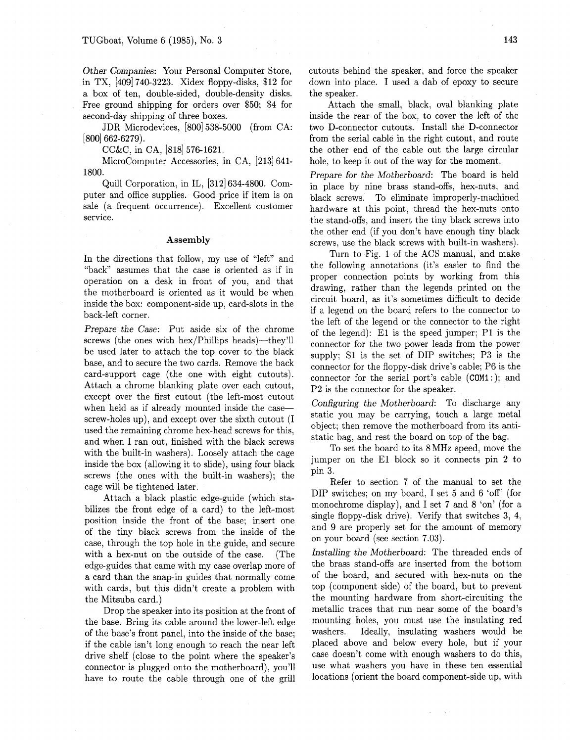Other Companies: Your Personal Computer Store, in TX, [409] 740-3223. Xidex floppy-disks, \$12 for a box of ten, double-sided, double-density disks. Free ground shipping for orders over \$50; \$4 for second-day shipping of three boxes.

JDR Microdevices, [800] 538-5000 (from CA: [800] 662-6279),

CC&C, in CA, [818] 576-1621.

Microcomputer Accessories, in CA, [213] 641- 1800.

Quill Corporation, in IL, [312] 634-4800. Computer and office supplies. Good price if item is on sale (a frequent occurrence). Excellent customer service.

## **Assembly**

In the directions that follow, my use of "left" and "back" assumes that the case is oriented as if in operation on a desk in front of you, and that the motherboard is oriented as it would be when inside the box: component-side up, card-slots in the back-left corner.

Prepare the Case: Put aside six of the chrome screws (the ones with hex/Phillips heads)—they'll be used later to attach the top cover to the black base, and to secure the two cards. Remove the back card-support cage (the one with eight cutouts). Attach a chrome blanking plate over each cutout, except over the first cutout (the left-most cutout when held as if already mounted inside the casescrew-holes up), and except over the sixth cutout (I used the remaining chrome hex-head screws for this, and when I ran out, finished with the black screws with the built-in washers). Loosely attach the cage inside the box (allowing it to slide), using four black screws (the ones with the built-in washers); the cage will be tightened later.

Attach a black plastic edge-guide (which stabilizes the front edge of a card) to the left-most position inside the front of the base; insert one of the tiny black screws from the inside of the case, through the top hole in the guide, and secure with a hex-nut on the outside of the case. (The edge-guides that came with my case overlap more of a card than the snap-in guides that normally come with cards, but this didn't create a problem with the Mitsuba card.)

Drop the speaker into its position at the front of the base. Bring its cable around the lower-left edge of the base's front panel, into the inside of the base; if the cable isn't long enough to reach the near left drive shelf (close to the point where the speaker's connector is plugged onto the motherboard), you'll have to route the cable through one of the grill

cutouts behind the speaker, and force the speaker down into place. I used a dab of epoxy to secure the speaker.

Attach the small, black, oval blanking plate inside the rear of the box, to cover the left of the two D-connector cutouts. Install the D-connector from the serial cable in the right cutout, and route the other end of the cable out the large circular hole, to keep it out of the way for the moment.

Prepare for the Motherboard: The board is held in place by nine brass stand-offs, hex-nuts, and black screws. To eliminate improperly-machined hardware at this point, thread the hex-nuts onto the stand-offs, and insert the tiny black screws into the other end (if you don't have enough tiny black screws, use the black screws with built-in washers).

Turn to Fig. 1 of the ACS manual, and make the following annotations (it's easier to find the proper connection points by working from this drawing, rather than the legends printed on the circuit board, as it's sometimes difficult to decide if a legend on the board refers to the connector to the left of the legend or the connector to the right of the legend): El is the speed jumper; P1 is the connector for the two power leads from the power supply; S1 is the set of DIP switches; P3 is the connector for the floppy-disk drive's cable; P6 is the connector for the serial port's cable (COMI : ); and P2 is the connector for the speaker.

Configuring the Motherboard: To discharge any static you may be carrying, touch a large metal object; then remove the motherboard from its antistatic bag, and rest the board on top of the bag.

To set the board to its 8MHz speed, move the jumper on the El block so it connects pin 2 to pin **3.** 

Refer to section 7 of the manual to set the DIP switches; on my board, I set 5 and 6 'off' (for monochrome display), and I set 7 and 8 'on' (for a single floppy-disk drive). Verify that switches 3, 4, and 9 are properly set for the amount of memory on your board (see section 7.03).

Installing the Motherboard: The threaded ends of the brass stand-offs are inserted from the bottom of the board, and secured with hex-nuts on the top (component side) of the board, but to prevent the mounting hardware from short-circuiting the metallic traces that run near some of the board's mounting holes, you must use the insulating red washers. Ideally, insulating washers would be placed above and below every hole, but if your case doesn't come with enough washers to do this, use what washers you have in these ten essential locations (orient the board component-side up, with

 $\zeta/\ell$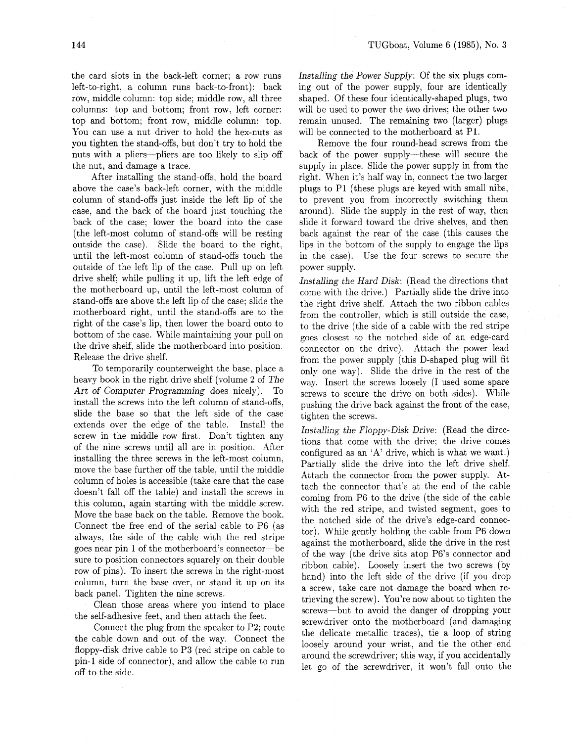the card slots in the back-left corner; a row runs left-to-right, a column runs back-to-front): back row, middle column: top side; middle row, all three columns: top and bottom; front row, left corner: top and bottom; front row, middle column: top. You can use a nut driver to hold the hex-nuts **as**  you tighten the stand-offs, but don't try to hold the nuts with a pliers-pliers are too likely to slip off the nut, and damage a trace.

After installing the stand-offs, hold the board above the case's back-left corner, with the middle column of stand-offs just inside the left lip of the case, and the back of the board just touching the back of the case; lower the board into the case (the left-most column of stand-offs will be resting outside the case). Slide the board to the right, until the left-most column of stand-offs touch the outside of the left lip of the case. Pull up on left drive shelf; while pulling it up, lift the left edge of the motherboard up, until the left-most column of stand-offs are above the left lip of the case; slide the motherboard right, until the stand-offs are to the right of the case's lip, then lower the board onto to bottom of the case. While maintaining your pull on the drive shelf, slide the motherboard into position. Release the drive shelf.

To temporarily counterweight the base, place a heavy book in the right drive shelf (volume 2 of The Art of Computer Programming does nicely). To install the screws into the left column of stand-offs, slide the base so that the left side of the case extends over the edge of the table. Install the screw in the middle row first. Don't tighten any of the nine screws until all are in position. After installing the three screws in the left-most column, move the base further off the table, until the middle column of holes is accessible (take care that the case doesn't fall off the table) and install the screws in this column, again starting with the middle screw. Move the base back on the table. Remove the book. Connect the free end of the serial cable to P6 (as always, the side of the cable with the red stripe goes near pin 1 of the motherboard's connector-be sure to position connectors squarely on their double row of pins). To insert the screws in the right-most column, turn the base over, or stand it up on its back panel. Tighten the nine screws.

Clean those areas where you intend to place the self-adhesive feet, and then attach the feet.

Connect the plug from the speaker to P2; route the cable down and out of the way. Connect the floppy-disk drive cable to P3 (red stripe on cable to pin-1 side of connector), and allow the cable to run off to the side.

Installing the Power Supply: Of the six plugs coming out of the power supply, four are identically shaped. Of these four identically-shaped plugs, two will be used to power the two drives; the other two remain unused. The remaining two (larger) plugs will be connected to the motherboard at PI.

Remove the four round-head screws from the back of the power supply-these will secure the supply in place. Slide the power supply in from the right. When it's half way in, connect the two larger plugs to P1 (these plugs are keyed with small nibs, to prevent you from incorrectly switching them around). Slide the supply in the rest of way, then slide it forward toward the drive shelves, and then back against the rear of the case (this causes the lips in the bottom of the supply to engage the lips in the case). Use the four screws to secure the power supply.

.Installing the Hard Disk: (Read the directions that come with the drive.) Partially slide the drive into the right drive shelf. Attach the two ribbon cables from the controller, which is still outside the case, to the drive (the side of a cable with the red stripe goes closest to the notched side of an edge-card connector on the drive). Attach the power lead from the power supply (this D-shaped plug will fit only one way). Slide the drive in the rest of the way. Insert the screws loosely (I used some spare screws to secure the drive on both sides). While pushing the drive back against the front of the case, tighten the screws.

Installing the Floppy-Disk Drive: (Read the directions that come with the drive; the drive comes configured as an 'A' drive, which is what we want.) Partially slide the drive into the left drive shelf. Attach the connector from the power supply. Attach the connector that's at the end of the cable coming from P6 to the drive (the side of the cable with the red stripe, and twisted segment, goes to the notched side of the drive's edge-card connector). While gently holding the cable from P6 down against the motherboard, slide the drive in the rest of the way (the drive sits atop P6's connector and ribbon cable). Loosely insert the two screws (by hand) into the left side of the drive (if you drop a screw, take care not damage the board when retrieving the screw). You're now about to tighten the screws-but to avoid the danger of dropping your screwdriver onto the motherboard (and damaging the delicate metallic traces), tie a loop of string loosely around your wrist, and tie the other end around the screwdriver; this way, if you accidentally let go of the screwdriver, it won't fall onto the